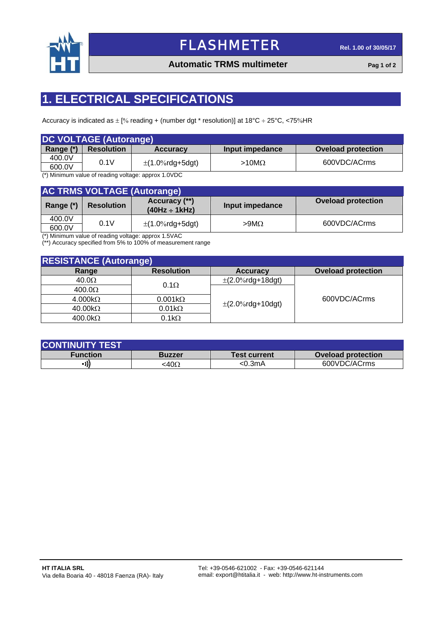

# FLASHMETER **Rel. 1.00 of 30/05/17**

### **Automatic TRMS multimeter Pag 1 of 2**

## **1. ELECTRICAL SPECIFICATIONS**

Accuracy is indicated as  $\pm$  [% reading + (number dgt \* resolution)] at 18°C  $\div$  25°C, <75% HR

| <b>DC VOLTAGE (Autorange)</b> |                   |                      |                 |                    |  |  |
|-------------------------------|-------------------|----------------------|-----------------|--------------------|--|--|
| Range (*)                     | <b>Resolution</b> | <b>Accuracy</b>      | Input impedance | Oveload protection |  |  |
| 400.0V                        | 0.1V              |                      | $>10M\Omega$    | 600VDC/ACrms       |  |  |
| 600.0V                        |                   | $\pm$ (1.0%rdg+5dgt) |                 |                    |  |  |

(\*) Minimum value of reading voltage: approx 1.0VDC

| <b>AC TRMS VOLTAGE (Autorange)</b> |                   |                                     |                 |                           |  |  |  |
|------------------------------------|-------------------|-------------------------------------|-----------------|---------------------------|--|--|--|
| Range (*)                          | <b>Resolution</b> | Accuracy (**)<br>$(40Hz \div 1kHz)$ | Input impedance | <b>Oveload protection</b> |  |  |  |
| 400.0V                             | 0.1V              |                                     |                 | 600VDC/ACrms              |  |  |  |
| 600.0V                             |                   | $\pm$ (1.0%rdg+5dgt)                | $>9M\Omega$     |                           |  |  |  |

(\*) Minimum value of reading voltage: approx 1.5VAC

(\*\*) Accuracy specified from 5% to 100% of measurement range

| <b>RESISTANCE (Autorange)</b>                                                                                      |                               |                       |                           |  |  |
|--------------------------------------------------------------------------------------------------------------------|-------------------------------|-----------------------|---------------------------|--|--|
| Range                                                                                                              | <b>Resolution</b>             | <b>Accuracy</b>       | <b>Oveload protection</b> |  |  |
| $40.0\Omega$                                                                                                       | $0.1\Omega$<br>$0.001k\Omega$ | $\pm$ (2.0%rdg+18dgt) |                           |  |  |
| 400.0 <omega< td=""><td rowspan="4"><math>\pm</math>(2.0%rdg+10dgt)</td><td rowspan="4">600VDC/ACrms</td></omega<> |                               | $\pm$ (2.0%rdg+10dgt) | 600VDC/ACrms              |  |  |
| $4.000k\Omega$                                                                                                     |                               |                       |                           |  |  |
| $40.00k\Omega$                                                                                                     | $0.01k\Omega$                 |                       |                           |  |  |
| $400.0 k\Omega$                                                                                                    | $0.1k\Omega$                  |                       |                           |  |  |

| <b>CONTINUITY TEST</b> |               |                     |                           |  |  |  |
|------------------------|---------------|---------------------|---------------------------|--|--|--|
| Function               | <b>Buzzer</b> | <b>Test current</b> | <b>Oveload protection</b> |  |  |  |
| - 111                  | :40 $\Omega$  | <0.3mA              | 600VDC/ACrms              |  |  |  |